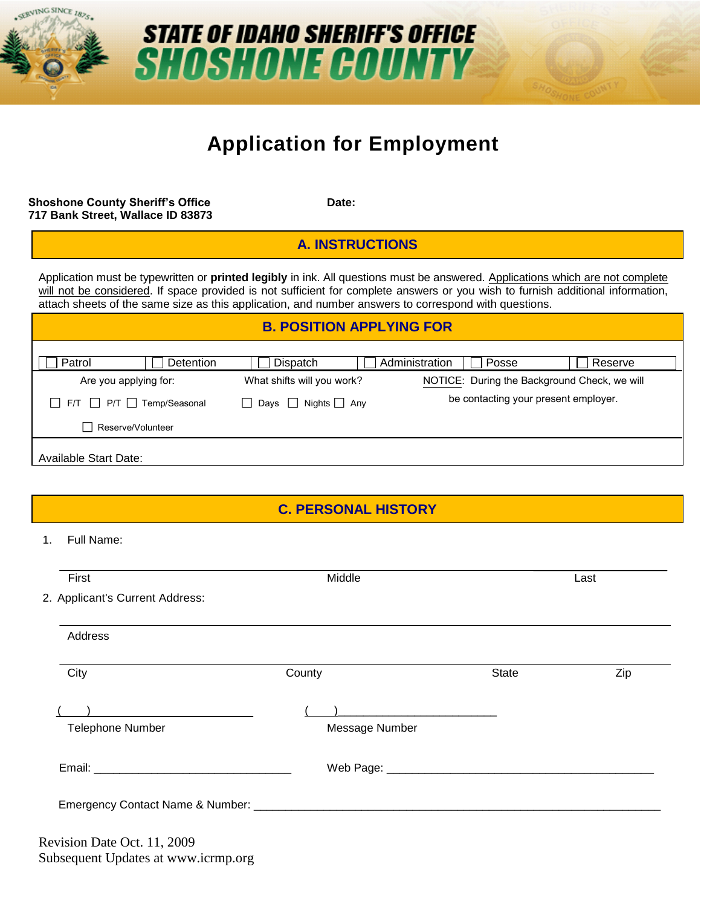

# **STATE OF IDAHO SHERIFF'S OFFICE SHOSHONE COUNTY**

# **Application for Employment**

**Shoshone County Sheriff's Office <b>Date:** Date: **717 Bank Street, Wallace ID 83873**

**A. INSTRUCTIONS**

Application must be typewritten or **printed legibly** in ink. All questions must be answered. Applications which are not complete will not be considered. If space provided is not sufficient for complete answers or you wish to furnish additional information, attach sheets of the same size as this application, and number answers to correspond with questions.

#### **B. POSITION APPLYING FOR**

| Patrol                       | Detention                                 | Dispatch                   | Administration<br>Posse                      | Reserve |
|------------------------------|-------------------------------------------|----------------------------|----------------------------------------------|---------|
| Are you applying for:        |                                           | What shifts will you work? | NOTICE: During the Background Check, we will |         |
|                              | $F/T$ $\Box$ $P/T$ $\Box$ $Temp/Seasonal$ | Days Nights Any            | be contacting your present employer.         |         |
|                              | Reserve/Volunteer                         |                            |                                              |         |
| <b>Available Start Date:</b> |                                           |                            |                                              |         |

**C. PERSONAL HISTORY**

1. Full Name:

| First                                            | Middle                                              |              | Last |
|--------------------------------------------------|-----------------------------------------------------|--------------|------|
| 2. Applicant's Current Address:                  |                                                     |              |      |
| Address                                          |                                                     |              |      |
| City                                             | County                                              | <b>State</b> | Zip  |
| the control of the control of the control of the | ) and the contract of the contract of $\mathcal{L}$ |              |      |
| <b>Telephone Number</b>                          | Message Number                                      |              |      |
|                                                  |                                                     |              |      |
|                                                  |                                                     |              |      |

Revision Date Oct. 11, 2009 Subsequent Updates at www.icrmp.org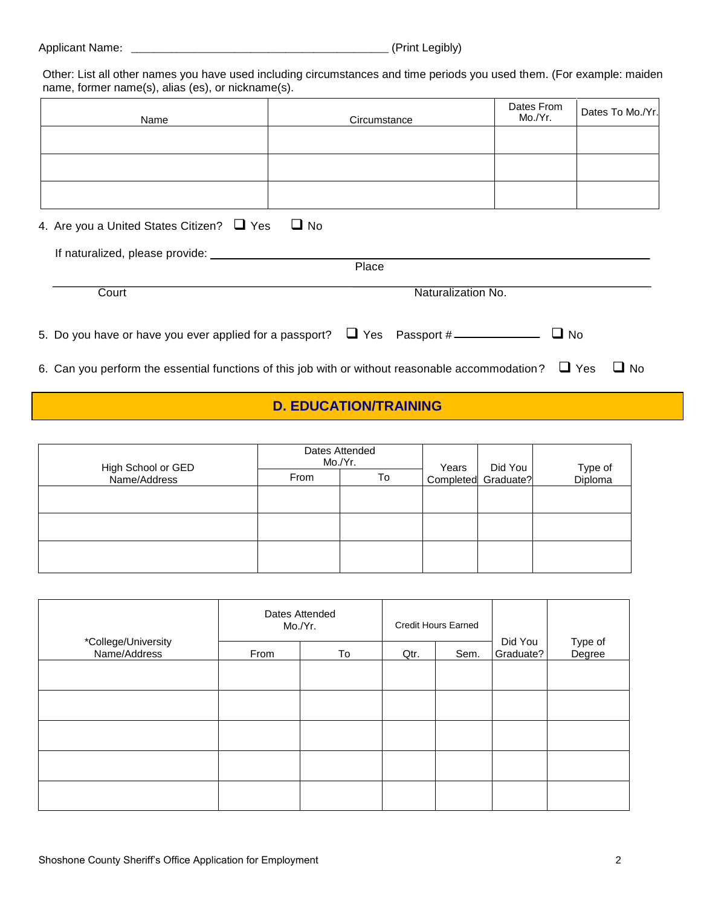| <b>Applicant Name:</b> |  | (Print Legibly) |
|------------------------|--|-----------------|
|------------------------|--|-----------------|

Other: List all other names you have used including circumstances and time periods you used them. (For example: maiden name, former name(s), alias (es), or nickname(s).

| Name | Circumstance | Dates From   Dates To Mo./Yr. |
|------|--------------|-------------------------------|
|      |              |                               |
|      |              |                               |
|      |              |                               |

| 4. Are you a United States Citizen? $\Box$ Yes $\Box$ No                      |                    |  |
|-------------------------------------------------------------------------------|--------------------|--|
|                                                                               |                    |  |
|                                                                               | Place              |  |
| Court                                                                         | Naturalization No. |  |
| 5. Do you have or have you ever applied for a passport? $\Box$ Yes Passport # | $\Box$ No          |  |

6. Can you perform the essential functions of this job with or without reasonable accommodation?  $\Box$  Yes  $\Box$  No

### **D. EDUCATION/TRAINING**

|                                    | Mo./Yr. | Dates Attended | Years | Did You             |                    |
|------------------------------------|---------|----------------|-------|---------------------|--------------------|
| High School or GED<br>Name/Address | From    | To             |       | Completed Graduate? | Type of<br>Diploma |
|                                    |         |                |       |                     |                    |
|                                    |         |                |       |                     |                    |
|                                    |         |                |       |                     |                    |
|                                    |         |                |       |                     |                    |
|                                    |         |                |       |                     |                    |

|                                     |      | Dates Attended<br>Mo./Yr. |      | <b>Credit Hours Earned</b> |                      |                   |
|-------------------------------------|------|---------------------------|------|----------------------------|----------------------|-------------------|
| *College/University<br>Name/Address | From | To                        | Qtr. | Sem.                       | Did You<br>Graduate? | Type of<br>Degree |
|                                     |      |                           |      |                            |                      |                   |
|                                     |      |                           |      |                            |                      |                   |
|                                     |      |                           |      |                            |                      |                   |
|                                     |      |                           |      |                            |                      |                   |
|                                     |      |                           |      |                            |                      |                   |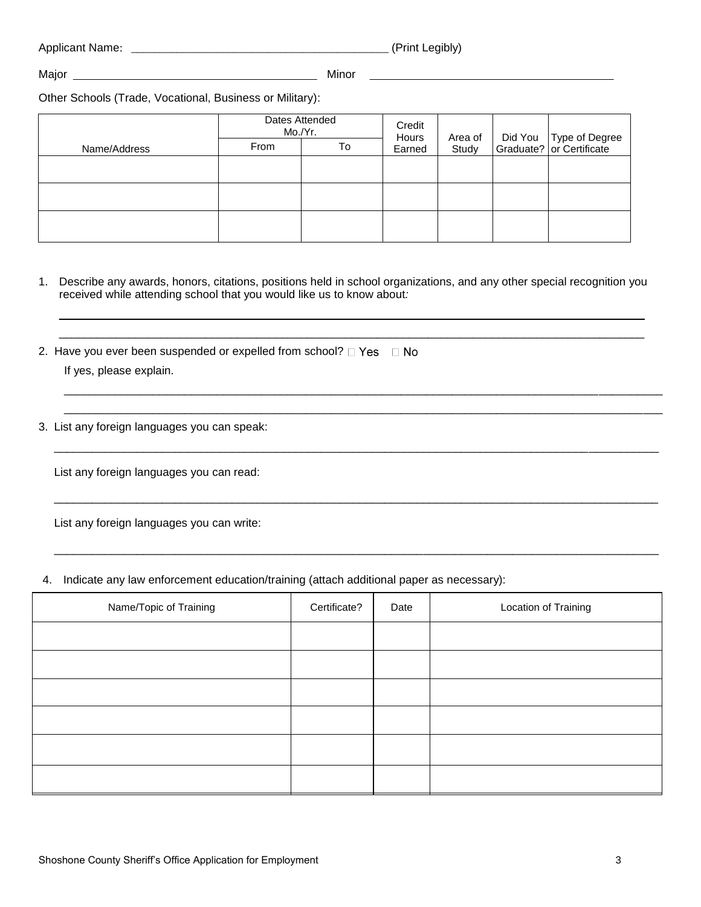| <b>Applicant Name:</b> | ____ | (Print Legibly) |
|------------------------|------|-----------------|
|                        |      |                 |

Major Minor

Other Schools (Trade, Vocational, Business or Military):

|              |      | Dates Attended<br>Mo./Yr. | Credit<br>Hours | Area of | Did You Type of Degree<br>  Graduate?   or Certificate |
|--------------|------|---------------------------|-----------------|---------|--------------------------------------------------------|
| Name/Address | From | To                        | Earned          | Study   |                                                        |
|              |      |                           |                 |         |                                                        |
|              |      |                           |                 |         |                                                        |
|              |      |                           |                 |         |                                                        |

1. Describe any awards, honors, citations, positions held in school organizations, and any other special recognition you received while attending school that you would like us to know about*:*

\_\_\_\_\_\_\_\_\_\_\_\_\_\_\_\_\_\_\_\_\_\_\_\_\_\_\_\_\_\_\_\_\_\_\_\_\_\_\_\_\_\_\_\_\_\_\_\_\_\_\_\_\_\_\_\_\_\_\_\_\_\_\_\_\_\_\_\_\_\_\_\_\_\_\_\_\_\_\_\_\_\_\_\_\_\_\_\_\_\_\_\_ \_\_\_\_\_\_\_\_\_\_\_\_\_\_\_\_\_\_\_\_\_\_\_\_\_\_\_\_\_\_\_\_\_\_\_\_\_\_\_\_\_\_\_\_\_\_\_\_\_\_\_\_\_\_\_\_\_\_\_\_\_\_\_\_\_\_\_\_\_\_\_\_\_\_\_\_\_\_\_\_\_\_\_\_\_\_\_\_\_\_\_\_

\_\_\_\_\_\_\_\_\_\_\_\_\_\_\_\_\_\_\_\_\_\_\_\_\_\_\_\_\_\_\_\_\_\_\_\_\_\_\_\_\_\_\_\_\_\_\_\_\_\_\_\_\_\_\_\_\_\_\_\_\_\_\_\_\_\_\_\_\_\_\_\_\_\_\_\_\_\_\_\_\_\_\_\_\_\_\_\_\_\_\_\_\_\_ \_\_\_\_\_\_\_\_\_\_\_\_\_\_\_\_\_\_\_\_\_\_\_\_\_\_\_\_\_\_\_\_\_\_\_\_\_\_\_\_\_\_\_\_\_\_\_\_\_\_\_\_\_\_\_\_\_\_\_\_\_\_\_\_\_\_\_\_\_\_\_\_\_\_\_\_\_\_\_\_\_\_\_\_\_\_\_\_\_\_\_\_\_\_

\_\_\_\_\_\_\_\_\_\_\_\_\_\_\_\_\_\_\_\_\_\_\_\_\_\_\_\_\_\_\_\_\_\_\_\_\_\_\_\_\_\_\_\_\_\_\_\_\_\_\_\_\_\_\_\_\_\_\_\_\_\_\_\_\_\_\_\_\_\_\_\_\_\_\_\_\_\_\_\_\_\_\_\_\_\_\_\_\_\_\_\_\_\_\_

\_\_\_\_\_\_\_\_\_\_\_\_\_\_\_\_\_\_\_\_\_\_\_\_\_\_\_\_\_\_\_\_\_\_\_\_\_\_\_\_\_\_\_\_\_\_\_\_\_\_\_\_\_\_\_\_\_\_\_\_\_\_\_\_\_\_\_\_\_\_\_\_\_\_\_\_\_\_\_\_\_\_\_\_\_\_\_\_\_\_\_\_\_\_\_

- 2. Have you ever been suspended or expelled from school?  $\Box$  Yes  $\Box$  No If yes, please explain.
- 3. List any foreign languages you can speak:

List any foreign languages you can read:

List any foreign languages you can write:

4. Indicate any law enforcement education/training (attach additional paper as necessary):

| Name/Topic of Training | Certificate? | Date | Location of Training |
|------------------------|--------------|------|----------------------|
|                        |              |      |                      |
|                        |              |      |                      |
|                        |              |      |                      |
|                        |              |      |                      |
|                        |              |      |                      |
|                        |              |      |                      |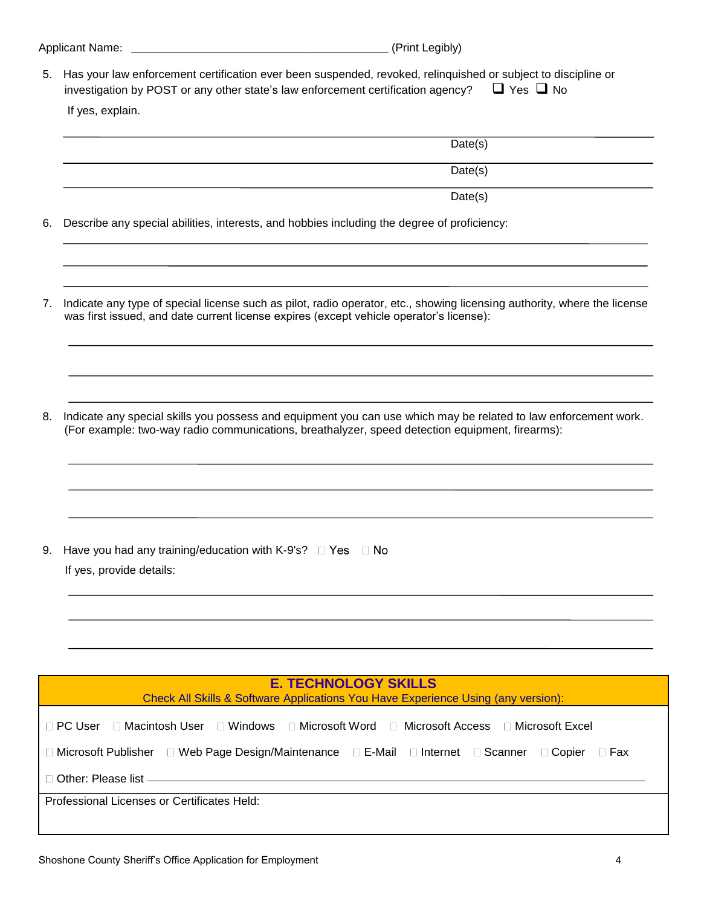| <b>Applicant Name:</b> |  | (Print Legibly) |
|------------------------|--|-----------------|
|------------------------|--|-----------------|

5. Has your law enforcement certification ever been suspended, revoked, relinquished or subject to discipline or investigation by POST or any other state's law enforcement certification agency?  $\Box$  Yes  $\Box$  No If yes, explain.

|    | Date(s)                                                                                                                                                                                                             |
|----|---------------------------------------------------------------------------------------------------------------------------------------------------------------------------------------------------------------------|
|    | Date(s)                                                                                                                                                                                                             |
|    | Date(s)                                                                                                                                                                                                             |
| 6. | Describe any special abilities, interests, and hobbies including the degree of proficiency:                                                                                                                         |
| 7. | Indicate any type of special license such as pilot, radio operator, etc., showing licensing authority, where the license<br>was first issued, and date current license expires (except vehicle operator's license): |
| 8. | Indicate any special skills you possess and equipment you can use which may be related to law enforcement work.<br>(For example: two-way radio communications, breathalyzer, speed detection equipment, firearms):  |
|    |                                                                                                                                                                                                                     |
| 9. | Have you had any training/education with K-9's? $\Box$ Yes $\Box$ No<br>If yes, provide details:                                                                                                                    |
|    |                                                                                                                                                                                                                     |
|    | <b>E. TECHNOLOGY SKILLS</b>                                                                                                                                                                                         |
|    | Check All Skills & Software Applications You Have Experience Using (any version):                                                                                                                                   |
|    | □ Macintosh User □ Windows<br>□ Microsoft Word<br>□ Microsoft Access<br>□ PC User<br>□ Microsoft Excel                                                                                                              |
|    | □ Microsoft Publisher □ Web Page Design/Maintenance □ E-Mail □ Internet □ Scanner<br>$\Box$ Copier<br>⊟ Fax                                                                                                         |
|    |                                                                                                                                                                                                                     |
|    | Professional Licenses or Certificates Held:                                                                                                                                                                         |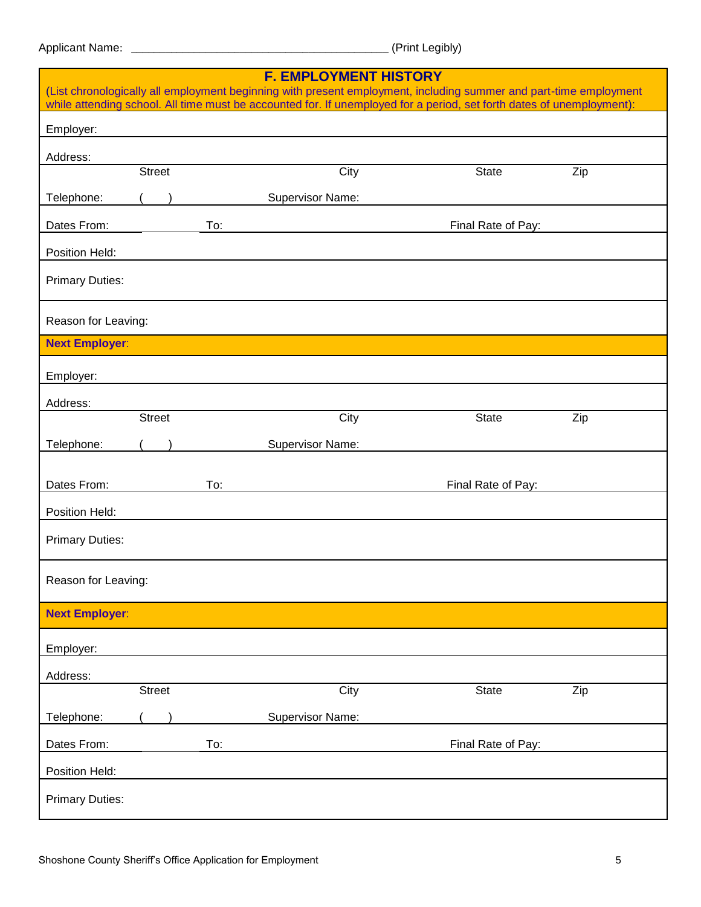Legibly)

| <b>F. EMPLOYMENT HISTORY</b><br>(List chronologically all employment beginning with present employment, including summer and part-time employment<br>while attending school. All time must be accounted for. If unemployed for a period, set forth dates of unemployment): |               |  |     |                  |      |                    |     |
|----------------------------------------------------------------------------------------------------------------------------------------------------------------------------------------------------------------------------------------------------------------------------|---------------|--|-----|------------------|------|--------------------|-----|
| Employer:                                                                                                                                                                                                                                                                  |               |  |     |                  |      |                    |     |
| Address:                                                                                                                                                                                                                                                                   |               |  |     |                  |      |                    |     |
|                                                                                                                                                                                                                                                                            | <b>Street</b> |  |     |                  | City | <b>State</b>       | Zip |
| Telephone:                                                                                                                                                                                                                                                                 |               |  |     | Supervisor Name: |      |                    |     |
| Dates From:                                                                                                                                                                                                                                                                |               |  | To: |                  |      | Final Rate of Pay: |     |
| Position Held:                                                                                                                                                                                                                                                             |               |  |     |                  |      |                    |     |
| <b>Primary Duties:</b>                                                                                                                                                                                                                                                     |               |  |     |                  |      |                    |     |
| Reason for Leaving:                                                                                                                                                                                                                                                        |               |  |     |                  |      |                    |     |
| <b>Next Employer:</b>                                                                                                                                                                                                                                                      |               |  |     |                  |      |                    |     |
| Employer:                                                                                                                                                                                                                                                                  |               |  |     |                  |      |                    |     |
| Address:                                                                                                                                                                                                                                                                   | <b>Street</b> |  |     |                  |      | <b>State</b>       |     |
|                                                                                                                                                                                                                                                                            |               |  |     |                  | City |                    | Zip |
| Telephone:                                                                                                                                                                                                                                                                 |               |  |     | Supervisor Name: |      |                    |     |
| Dates From:                                                                                                                                                                                                                                                                |               |  | To: |                  |      | Final Rate of Pay: |     |
| Position Held:                                                                                                                                                                                                                                                             |               |  |     |                  |      |                    |     |
| <b>Primary Duties:</b>                                                                                                                                                                                                                                                     |               |  |     |                  |      |                    |     |
| Reason for Leaving:                                                                                                                                                                                                                                                        |               |  |     |                  |      |                    |     |
| <b>Next Employer:</b>                                                                                                                                                                                                                                                      |               |  |     |                  |      |                    |     |
| Employer:                                                                                                                                                                                                                                                                  |               |  |     |                  |      |                    |     |
| Address:                                                                                                                                                                                                                                                                   |               |  |     |                  |      |                    |     |
|                                                                                                                                                                                                                                                                            | <b>Street</b> |  |     |                  | City | <b>State</b>       | Zip |
| Telephone:                                                                                                                                                                                                                                                                 |               |  |     | Supervisor Name: |      |                    |     |
| Dates From:                                                                                                                                                                                                                                                                |               |  | To: |                  |      | Final Rate of Pay: |     |
| Position Held:                                                                                                                                                                                                                                                             |               |  |     |                  |      |                    |     |
| <b>Primary Duties:</b>                                                                                                                                                                                                                                                     |               |  |     |                  |      |                    |     |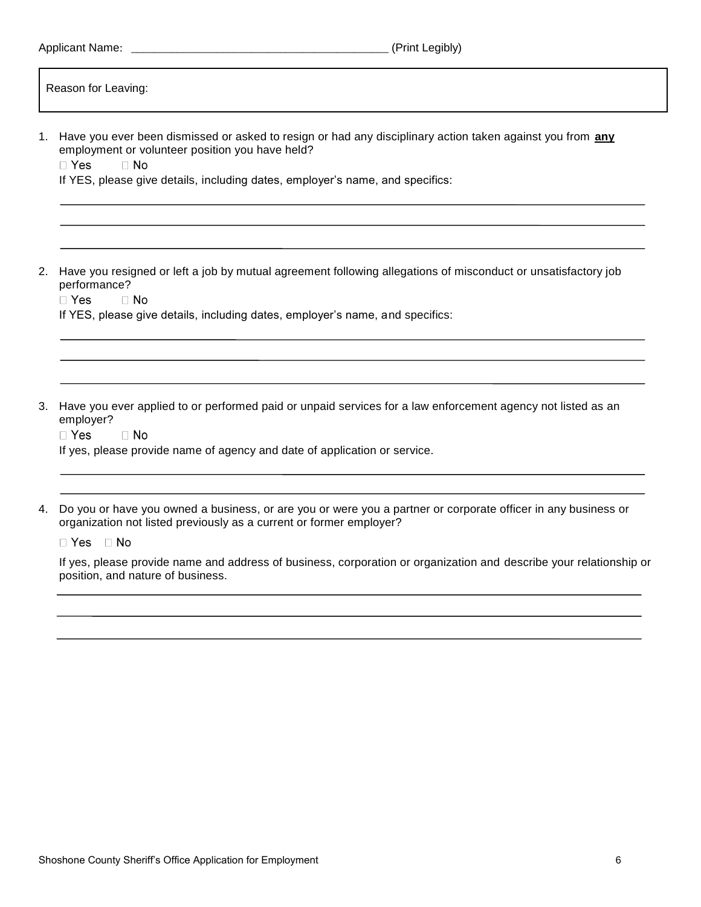|                                                                            | (Print Legibly)                                                                                                                                                                                                                                                                                            |
|----------------------------------------------------------------------------|------------------------------------------------------------------------------------------------------------------------------------------------------------------------------------------------------------------------------------------------------------------------------------------------------------|
| Reason for Leaving:                                                        |                                                                                                                                                                                                                                                                                                            |
| employment or volunteer position you have held?<br>$\Box$ Yes<br>$\Box$ No | 1. Have you ever been dismissed or asked to resign or had any disciplinary action taken against you from <b>any</b><br>If YES, please give details, including dates, employer's name, and specifics:                                                                                                       |
| 2.<br>performance?<br>$\Box$ Yes<br>$\Box$ No                              | Have you resigned or left a job by mutual agreement following allegations of misconduct or unsatisfactory job<br>If YES, please give details, including dates, employer's name, and specifics:                                                                                                             |
| 3.<br>employer?<br>$\Box$ Yes<br>$\Box$ No                                 | Have you ever applied to or performed paid or unpaid services for a law enforcement agency not listed as an<br>If yes, please provide name of agency and date of application or service.                                                                                                                   |
| 4.<br>⊟ Yes<br>⊟ No<br>position, and nature of business.                   | Do you or have you owned a business, or are you or were you a partner or corporate officer in any business or<br>organization not listed previously as a current or former employer?<br>If yes, please provide name and address of business, corporation or organization and describe your relationship or |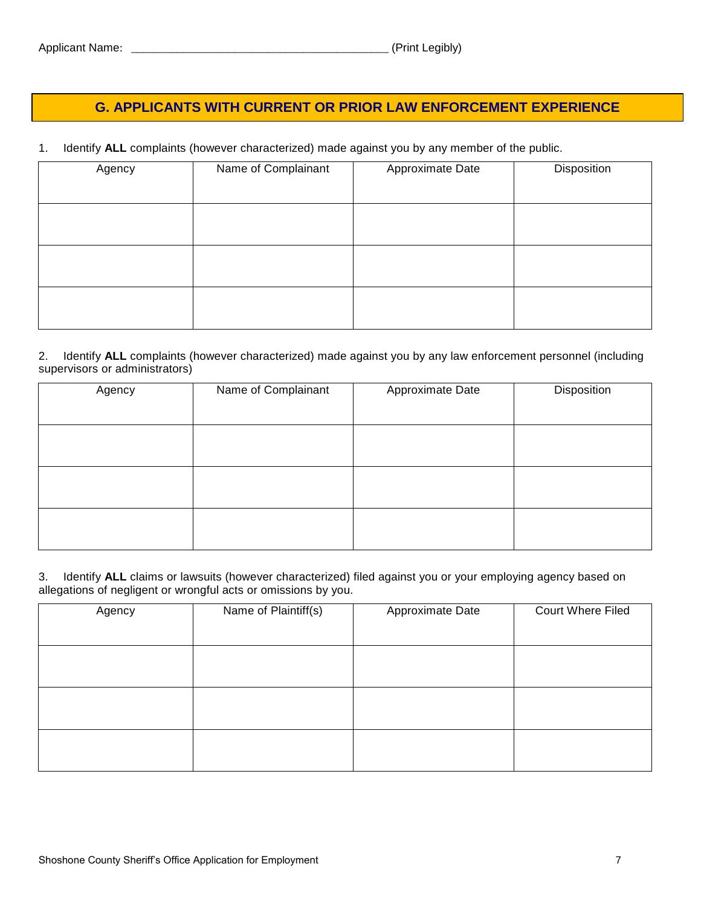## **G. APPLICANTS WITH CURRENT OR PRIOR LAW ENFORCEMENT EXPERIENCE**

1. Identify **ALL** complaints (however characterized) made against you by any member of the public.

| Name of Complainant | Approximate Date | Disposition |
|---------------------|------------------|-------------|
|                     |                  |             |
|                     |                  |             |
|                     |                  |             |
|                     |                  |             |
|                     |                  |             |

#### 2. Identify **ALL** complaints (however characterized) made against you by any law enforcement personnel (including supervisors or administrators)

| Agency | Name of Complainant | Approximate Date | Disposition |
|--------|---------------------|------------------|-------------|
|        |                     |                  |             |
|        |                     |                  |             |
|        |                     |                  |             |
|        |                     |                  |             |
|        |                     |                  |             |
|        |                     |                  |             |
|        |                     |                  |             |

#### 3. Identify **ALL** claims or lawsuits (however characterized) filed against you or your employing agency based on allegations of negligent or wrongful acts or omissions by you.

| Agency | Name of Plaintiff(s) | Approximate Date | <b>Court Where Filed</b> |
|--------|----------------------|------------------|--------------------------|
|        |                      |                  |                          |
|        |                      |                  |                          |
|        |                      |                  |                          |
|        |                      |                  |                          |
|        |                      |                  |                          |
|        |                      |                  |                          |
|        |                      |                  |                          |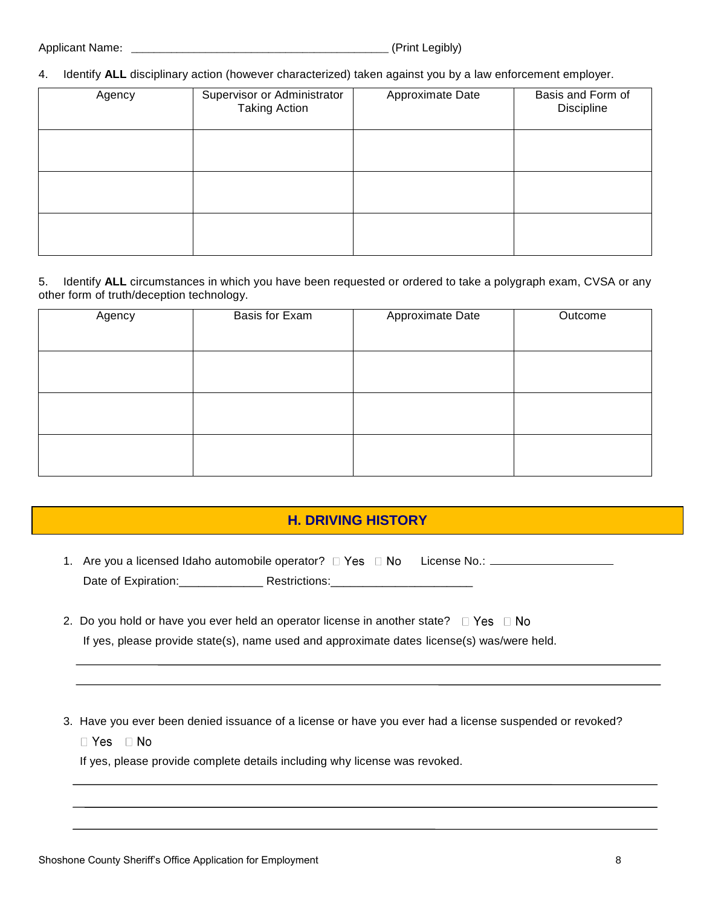4. Identify **ALL** disciplinary action (however characterized) taken against you by a law enforcement employer.

| Agency | Supervisor or Administrator<br><b>Taking Action</b> | Approximate Date | Basis and Form of<br>Discipline |
|--------|-----------------------------------------------------|------------------|---------------------------------|
|        |                                                     |                  |                                 |
|        |                                                     |                  |                                 |
|        |                                                     |                  |                                 |

5. Identify **ALL** circumstances in which you have been requested or ordered to take a polygraph exam, CVSA or any other form of truth/deception technology.

| Basis for Exam | Approximate Date | Outcome |
|----------------|------------------|---------|
|                |                  |         |
|                |                  |         |
|                |                  |         |
|                |                  |         |
|                |                  |         |
|                |                  |         |
|                |                  |         |
|                |                  |         |
|                |                  |         |

#### **H. DRIVING HISTORY**

- 1. Are you a licensed Idaho automobile operator? License No.: Date of Expiration:\_\_\_\_\_\_\_\_\_\_\_\_\_\_\_\_\_\_\_\_ Restrictions:\_\_\_\_\_\_\_\_\_\_\_\_\_\_\_\_\_\_\_\_\_\_\_\_\_\_\_
- 2. Do you hold or have you ever held an operator license in another state?  $\square$  Yes  $\square$  No If yes, please provide state(s), name used and approximate dates license(s) was/were held.
- 3. Have you ever been denied issuance of a license or have you ever had a license suspended or revoked?
	- $\Box$  Yes  $\Box$  No

If yes, please provide complete details including why license was revoked.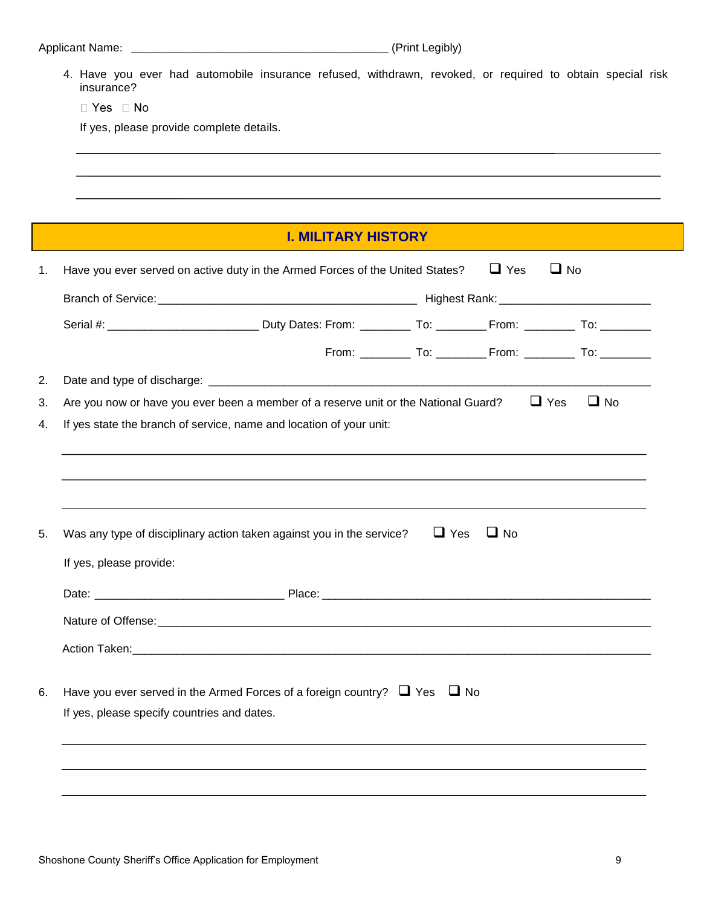4. Have you ever had automobile insurance refused, withdrawn, revoked, or required to obtain special risk insurance?

□ Yes □ No

If yes, please provide complete details.

# **I. MILITARY HISTORY**

|                         |                                             |                                                                                                                                              | $\Box$ No                                                                                                                                                                                                                                                                                                                                                           |
|-------------------------|---------------------------------------------|----------------------------------------------------------------------------------------------------------------------------------------------|---------------------------------------------------------------------------------------------------------------------------------------------------------------------------------------------------------------------------------------------------------------------------------------------------------------------------------------------------------------------|
|                         |                                             |                                                                                                                                              |                                                                                                                                                                                                                                                                                                                                                                     |
|                         |                                             |                                                                                                                                              |                                                                                                                                                                                                                                                                                                                                                                     |
|                         |                                             |                                                                                                                                              |                                                                                                                                                                                                                                                                                                                                                                     |
|                         |                                             |                                                                                                                                              |                                                                                                                                                                                                                                                                                                                                                                     |
|                         |                                             |                                                                                                                                              | $\Box$ No<br>$\Box$ Yes                                                                                                                                                                                                                                                                                                                                             |
|                         |                                             |                                                                                                                                              |                                                                                                                                                                                                                                                                                                                                                                     |
|                         |                                             |                                                                                                                                              |                                                                                                                                                                                                                                                                                                                                                                     |
|                         |                                             |                                                                                                                                              |                                                                                                                                                                                                                                                                                                                                                                     |
|                         |                                             |                                                                                                                                              |                                                                                                                                                                                                                                                                                                                                                                     |
|                         |                                             | $\Box$ No                                                                                                                                    |                                                                                                                                                                                                                                                                                                                                                                     |
| If yes, please provide: |                                             |                                                                                                                                              |                                                                                                                                                                                                                                                                                                                                                                     |
|                         |                                             |                                                                                                                                              |                                                                                                                                                                                                                                                                                                                                                                     |
|                         |                                             |                                                                                                                                              |                                                                                                                                                                                                                                                                                                                                                                     |
|                         |                                             |                                                                                                                                              |                                                                                                                                                                                                                                                                                                                                                                     |
|                         |                                             |                                                                                                                                              |                                                                                                                                                                                                                                                                                                                                                                     |
|                         |                                             |                                                                                                                                              |                                                                                                                                                                                                                                                                                                                                                                     |
|                         |                                             |                                                                                                                                              |                                                                                                                                                                                                                                                                                                                                                                     |
|                         |                                             |                                                                                                                                              |                                                                                                                                                                                                                                                                                                                                                                     |
|                         |                                             |                                                                                                                                              |                                                                                                                                                                                                                                                                                                                                                                     |
|                         | If yes, please specify countries and dates. | If yes state the branch of service, name and location of your unit:<br>Was any type of disciplinary action taken against you in the service? | Have you ever served on active duty in the Armed Forces of the United States? $\Box$ Yes<br>From: _____________ To: _____________ From: ______________ To: ____________<br>Are you now or have you ever been a member of a reserve unit or the National Guard?<br>$\Box$ Yes<br>Have you ever served in the Armed Forces of a foreign country? $\Box$ Yes $\Box$ No |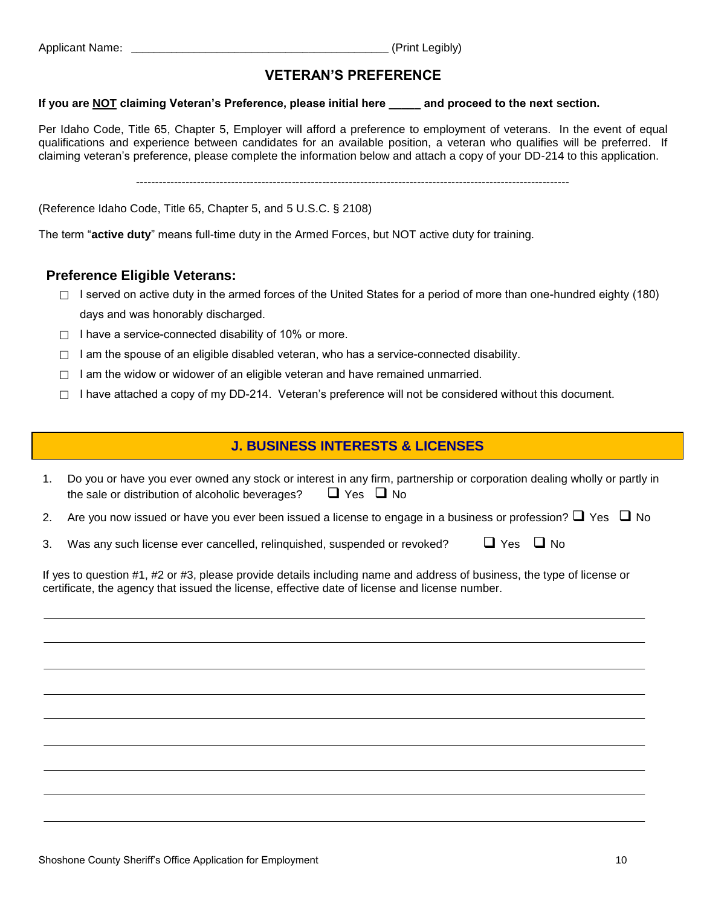Applicant Name: 2002 12:00 Applicant Name: 2008 12:00 12:00 12:00 12:00 12:00 12:00 12:00 12:00 12:00 12:00 12:00 12:00 12:00 12:00 12:00 12:00 12:00 12:00 12:00 12:00 12:00 12:00 12:00 12:00 12:00 12:00 12:00 12:00 12:00

## **VETERAN'S PREFERENCE**

#### **If you are NOT claiming Veteran's Preference, please initial here \_\_\_\_\_ and proceed to the next section.**

Per Idaho Code, Title 65, Chapter 5, Employer will afford a preference to employment of veterans. In the event of equal qualifications and experience between candidates for an available position, a veteran who qualifies will be preferred. If claiming veteran's preference, please complete the information below and attach a copy of your DD-214 to this application.

------------------------------------------------------------------------------------------------------------------

(Reference Idaho Code, Title 65, Chapter 5, and 5 U.S.C. § 2108)

The term "**active duty**" means full-time duty in the Armed Forces, but NOT active duty for training.

#### **Preference Eligible Veterans:**

- $\Box$  I served on active duty in the armed forces of the United States for a period of more than one-hundred eighty (180) days and was honorably discharged.
- $\Box$  I have a service-connected disability of 10% or more.
- $\Box$  I am the spouse of an eligible disabled veteran, who has a service-connected disability.
- $\Box$  I am the widow or widower of an eligible veteran and have remained unmarried.
- $\Box$  I have attached a copy of my DD-214. Veteran's preference will not be considered without this document.

#### **J. BUSINESS INTERESTS & LICENSES**

|                                                  | 1. Do you or have you ever owned any stock or interest in any firm, partnership or corporation dealing wholly or partly in |
|--------------------------------------------------|----------------------------------------------------------------------------------------------------------------------------|
| the sale or distribution of alcoholic beverages? | $\Box$ Yes $\Box$ No                                                                                                       |

- 2. Are you now issued or have you ever been issued a license to engage in a business or profession?  $\Box$  Yes  $\Box$  No
- 3. Was any such license ever cancelled, relinquished, suspended or revoked?  $\Box$  Yes  $\Box$  No

If yes to question #1, #2 or #3, please provide details including name and address of business, the type of license or certificate, the agency that issued the license, effective date of license and license number.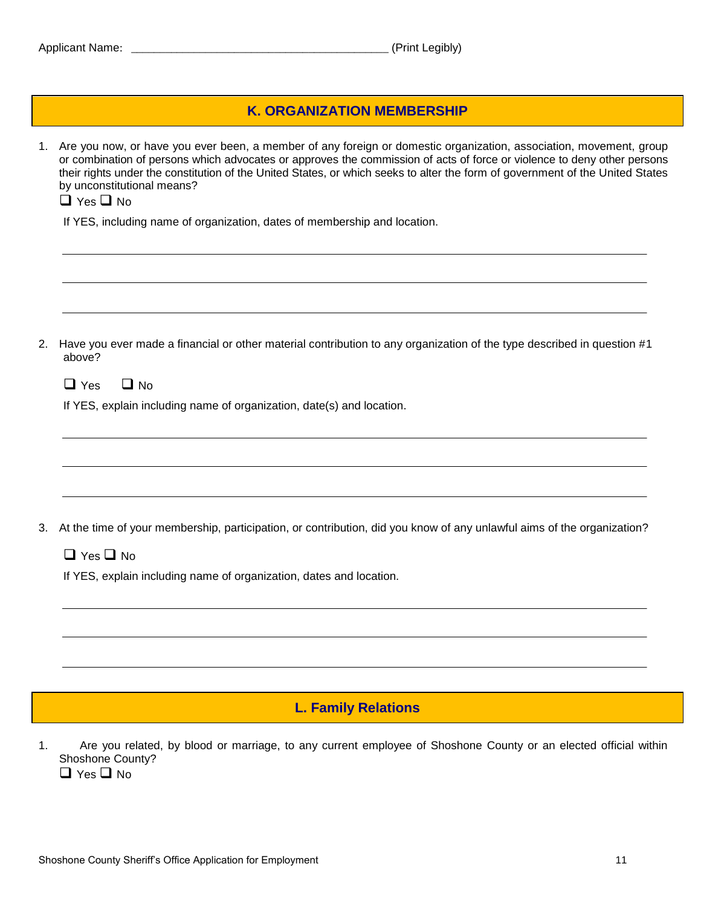|  |  |  | <b>Applicant Name:</b> |
|--|--|--|------------------------|
|--|--|--|------------------------|

#### **K. ORGANIZATION MEMBERSHIP**

1. Are you now, or have you ever been, a member of any foreign or domestic organization, association, movement, group or combination of persons which advocates or approves the commission of acts of force or violence to deny other persons their rights under the constitution of the United States, or which seeks to alter the form of government of the United States by unconstitutional means?  $\Box$  Yes  $\Box$  No

If YES, including name of organization, dates of membership and location.

2. Have you ever made a financial or other material contribution to any organization of the type described in question #1 above?

| $\square$ Yes |  | $\Box$ No |
|---------------|--|-----------|
|---------------|--|-----------|

If YES, explain including name of organization, date(s) and location.

3. At the time of your membership, participation, or contribution, did you know of any unlawful aims of the organization?

 $\Box$  Yes  $\Box$  No

If YES, explain including name of organization, dates and location.

#### **L. Family Relations**

- 1. Are you related, by blood or marriage, to any current employee of Shoshone County or an elected official within Shoshone County?
	- $\Box$  Yes  $\Box$  No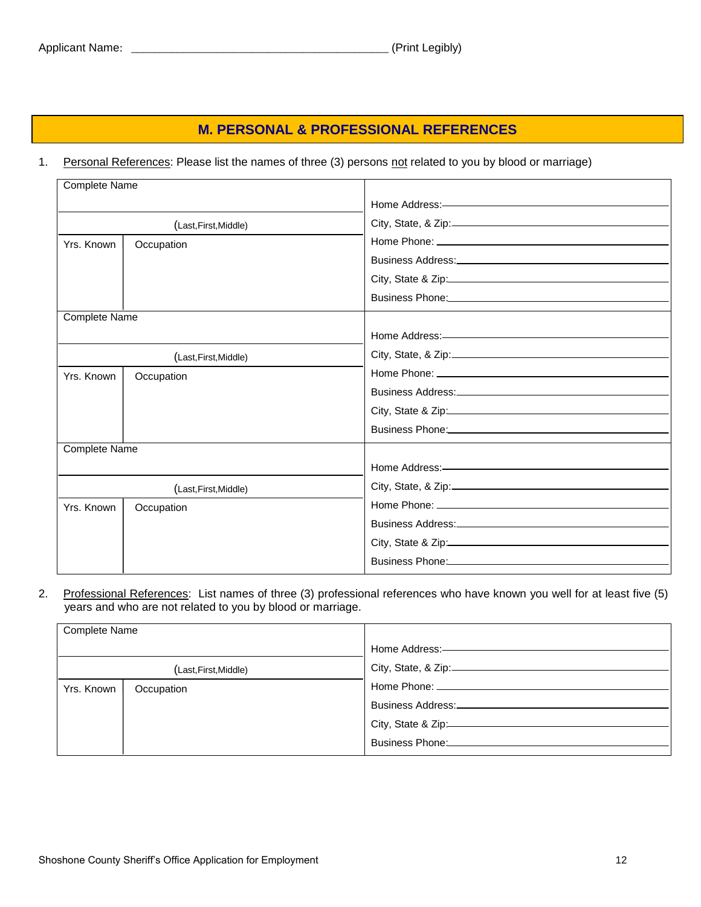# **M. PERSONAL & PROFESSIONAL REFERENCES**

#### 1. Personal References: Please list the names of three (3) persons not related to you by blood or marriage)

| <b>Complete Name</b> |                       |                                                                                                                                                                                                                               |
|----------------------|-----------------------|-------------------------------------------------------------------------------------------------------------------------------------------------------------------------------------------------------------------------------|
|                      |                       |                                                                                                                                                                                                                               |
|                      | (Last, First, Middle) |                                                                                                                                                                                                                               |
| Yrs. Known           | Occupation            |                                                                                                                                                                                                                               |
|                      |                       |                                                                                                                                                                                                                               |
|                      |                       | City, State & Zip: 2008 City, State & Zip:                                                                                                                                                                                    |
|                      |                       | Business Phone: Manual Manual Manual Manual Manual Manual Manual Manual Manual Manual Manual Manual Manual                                                                                                                    |
| <b>Complete Name</b> |                       |                                                                                                                                                                                                                               |
|                      |                       |                                                                                                                                                                                                                               |
|                      | (Last, First, Middle) |                                                                                                                                                                                                                               |
| Yrs. Known           | Occupation            |                                                                                                                                                                                                                               |
|                      |                       |                                                                                                                                                                                                                               |
|                      |                       |                                                                                                                                                                                                                               |
|                      |                       | Business Phone: North and the Contract of the Contract of the Contract of the Contract of the Contract of the Contract of the Contract of the Contract of the Contract of the Contract of the Contract of the Contract of the |
| <b>Complete Name</b> |                       |                                                                                                                                                                                                                               |
|                      |                       |                                                                                                                                                                                                                               |
|                      | (Last, First, Middle) |                                                                                                                                                                                                                               |
| Yrs. Known           | Occupation            |                                                                                                                                                                                                                               |
|                      |                       |                                                                                                                                                                                                                               |
|                      |                       | City, State & Zip: $\frac{1}{2}$                                                                                                                                                                                              |
|                      |                       | Business Phone: Management of the Contract of the Contract of the Contract of the Contract of the Contract of the Contract of the Contract of the Contract of the Contract of the Contract of the Contract of the Contract of |
|                      |                       |                                                                                                                                                                                                                               |

2. Professional References: List names of three (3) professional references who have known you well for at least five (5) years and who are not related to you by blood or marriage.

| <b>Complete Name</b> |            |                    |
|----------------------|------------|--------------------|
|                      |            |                    |
|                      |            |                    |
| (Last,First,Middle)  |            |                    |
| Yrs. Known           | Occupation |                    |
|                      |            |                    |
|                      |            | Business Address:  |
|                      |            |                    |
|                      |            | City, State & Zip: |
|                      |            |                    |
|                      |            |                    |
|                      |            |                    |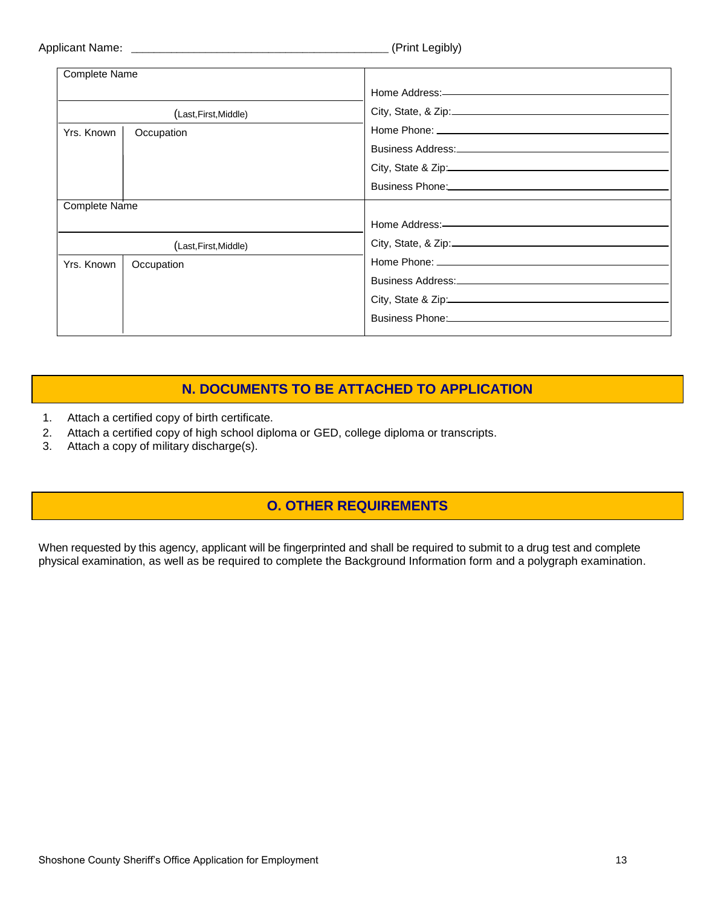|  | <b>Applicant Name:</b> |
|--|------------------------|
|  |                        |

| Complete Name         |                       |                                                                                         |
|-----------------------|-----------------------|-----------------------------------------------------------------------------------------|
|                       |                       |                                                                                         |
|                       | (Last, First, Middle) |                                                                                         |
| Yrs. Known            | Occupation            |                                                                                         |
|                       |                       |                                                                                         |
|                       |                       | City, State & Zip:                                                                      |
|                       |                       |                                                                                         |
| Complete Name         |                       |                                                                                         |
|                       |                       |                                                                                         |
| (Last, First, Middle) |                       |                                                                                         |
| Yrs. Known            | Occupation            |                                                                                         |
|                       |                       |                                                                                         |
|                       |                       |                                                                                         |
|                       |                       | Business Phone: 2008 - 2010 12:00:00 Pusiness Phone: 2010 12:00:00 Pusiness Phone: 2010 |

# **N. DOCUMENTS TO BE ATTACHED TO APPLICATION**

- 1. Attach a certified copy of birth certificate.
- 2. Attach a certified copy of high school diploma or GED, college diploma or transcripts.
- 3. Attach a copy of military discharge(s).

# **O. OTHER REQUIREMENTS**

When requested by this agency, applicant will be fingerprinted and shall be required to submit to a drug test and complete physical examination, as well as be required to complete the Background Information form and a polygraph examination.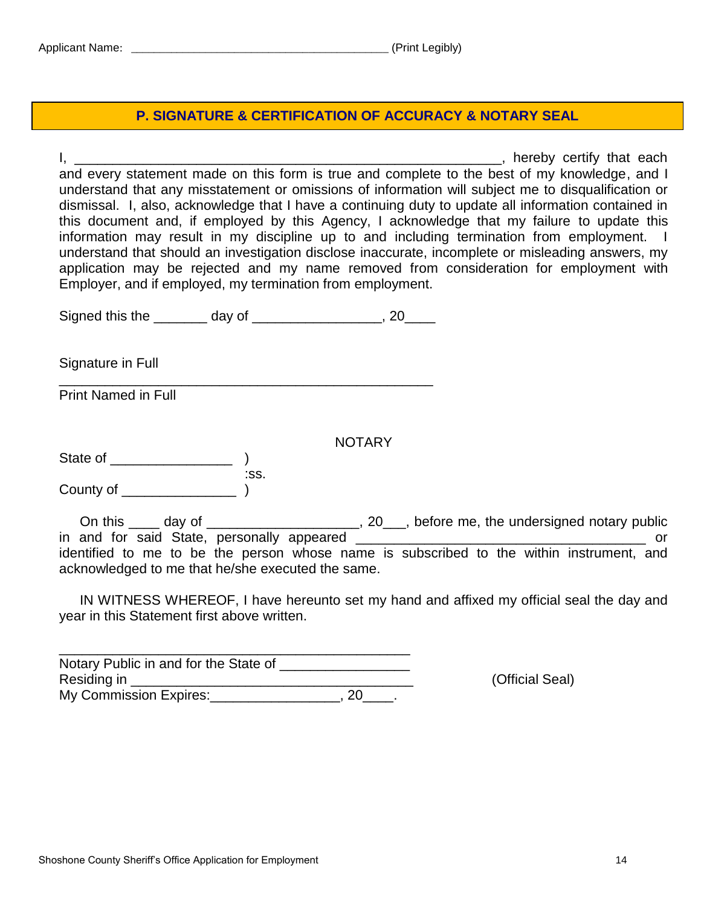# **P. SIGNATURE & CERTIFICATION OF ACCURACY & NOTARY SEAL**

I, thereby certify that each state of the state of the state of the state of the state of the state of the state of the state of the state of the state of the state of the state of the state of the state of the state of th and every statement made on this form is true and complete to the best of my knowledge, and I understand that any misstatement or omissions of information will subject me to disqualification or dismissal. I, also, acknowledge that I have a continuing duty to update all information contained in this document and, if employed by this Agency, I acknowledge that my failure to update this information may result in my discipline up to and including termination from employment. I understand that should an investigation disclose inaccurate, incomplete or misleading answers, my application may be rejected and my name removed from consideration for employment with Employer, and if employed, my termination from employment.

| Signed this the | day of |  |
|-----------------|--------|--|
|                 |        |  |

\_\_\_\_\_\_\_\_\_\_\_\_\_\_\_\_\_\_\_\_\_\_\_\_\_\_\_\_\_\_\_\_\_\_\_\_\_\_\_\_\_\_\_\_\_\_\_\_\_

Signature in Full

Print Named in Full

NOTARY

State of \_\_\_\_\_\_\_\_\_\_\_\_\_\_\_\_ ) :ss. County of \_\_\_\_\_\_\_\_\_\_\_\_\_\_\_ )

On this \_\_\_\_ day of \_\_\_\_\_\_\_\_\_\_\_\_\_\_\_\_\_\_\_\_, 20\_\_\_, before me, the undersigned notary public in and for said State, personally appeared \_\_\_\_\_\_\_\_\_\_\_\_\_\_\_\_\_\_\_\_\_\_\_\_\_\_\_\_\_\_\_\_\_\_\_\_\_\_ or identified to me to be the person whose name is subscribed to the within instrument, and acknowledged to me that he/she executed the same.

IN WITNESS WHEREOF, I have hereunto set my hand and affixed my official seal the day and year in this Statement first above written.

\_\_\_\_\_\_\_\_\_\_\_\_\_\_\_\_\_\_\_\_\_\_\_\_\_\_\_\_\_\_\_\_\_\_\_\_\_\_\_\_\_\_\_\_\_\_ Notary Public in and for the State of Residing in \_\_\_\_\_\_\_\_\_\_\_\_\_\_\_\_\_\_\_\_\_\_\_\_\_\_\_\_\_\_\_\_\_\_\_\_\_ (Official Seal) My Commission Expires: 1884 My Commission Expires: